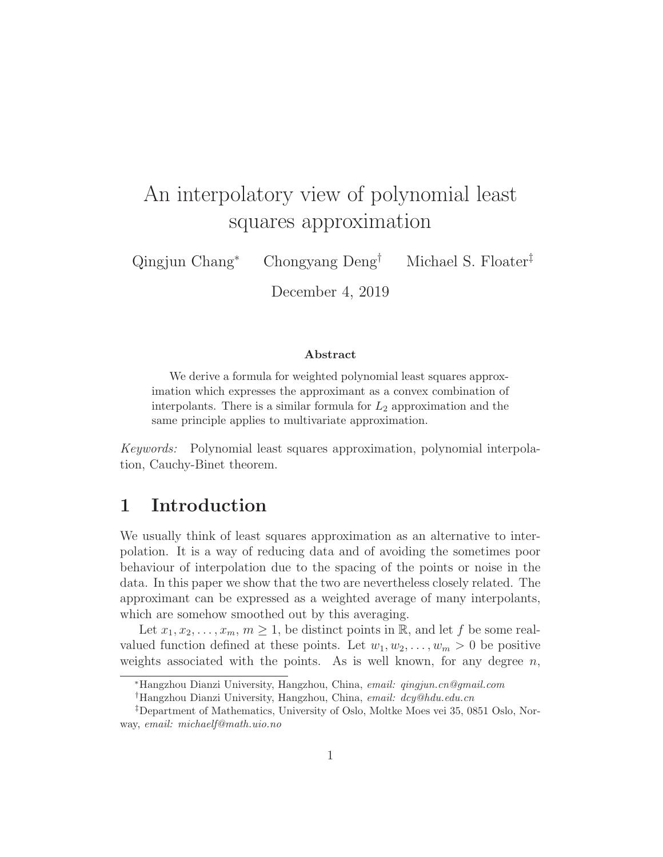# An interpolatory view of polynomial least squares approximation

Qingjun Chang<sup>∗</sup> Chongyang Deng† Michael S. Floater‡

December 4, 2019

#### Abstract

We derive a formula for weighted polynomial least squares approximation which expresses the approximant as a convex combination of interpolants. There is a similar formula for  $L_2$  approximation and the same principle applies to multivariate approximation.

*Keywords:* Polynomial least squares approximation, polynomial interpolation, Cauchy-Binet theorem.

#### 1 Introduction

We usually think of least squares approximation as an alternative to interpolation. It is a way of reducing data and of avoiding the sometimes poor behaviour of interpolation due to the spacing of the points or noise in the data. In this paper we show that the two are nevertheless closely related. The approximant can be expressed as a weighted average of many interpolants, which are somehow smoothed out by this averaging.

Let  $x_1, x_2, \ldots, x_m, m \ge 1$ , be distinct points in  $\mathbb{R}$ , and let f be some realvalued function defined at these points. Let  $w_1, w_2, \ldots, w_m > 0$  be positive weights associated with the points. As is well known, for any degree  $n$ ,

<sup>∗</sup>Hangzhou Dianzi University, Hangzhou, China, *email: qingjun.cn@gmail.com*

<sup>†</sup>Hangzhou Dianzi University, Hangzhou, China, *email: dcy@hdu.edu.cn*

<sup>‡</sup>Department of Mathematics, University of Oslo, Moltke Moes vei 35, 0851 Oslo, Norway, *email: michaelf@math.uio.no*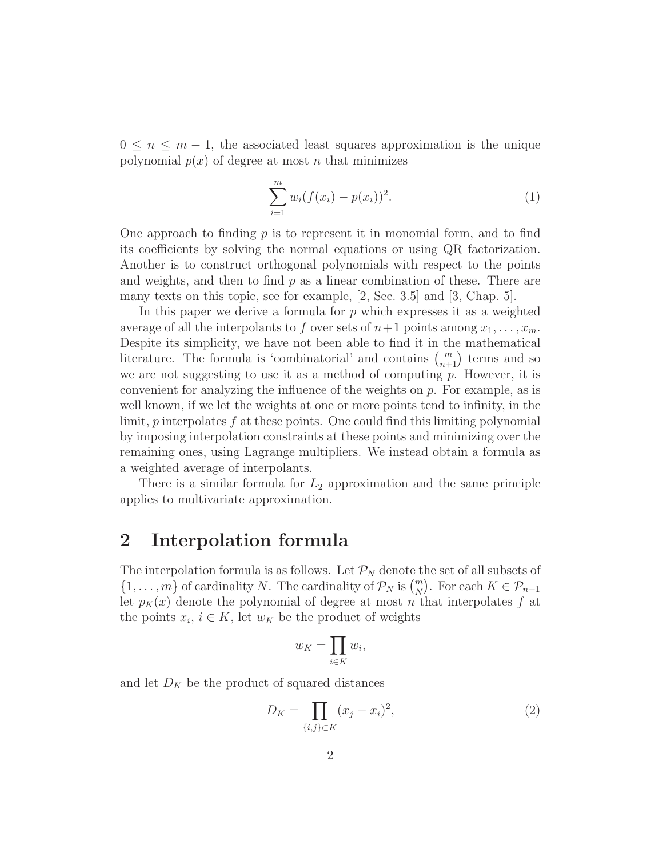$0 \leq n \leq m-1$ , the associated least squares approximation is the unique polynomial  $p(x)$  of degree at most n that minimizes

$$
\sum_{i=1}^{m} w_i (f(x_i) - p(x_i))^2.
$$
 (1)

One approach to finding  $p$  is to represent it in monomial form, and to find its coefficients by solving the normal equations or using QR factorization. Another is to construct orthogonal polynomials with respect to the points and weights, and then to find  $p$  as a linear combination of these. There are many texts on this topic, see for example, [2, Sec. 3.5] and [3, Chap. 5].

In this paper we derive a formula for  $p$  which expresses it as a weighted average of all the interpolants to f over sets of  $n+1$  points among  $x_1, \ldots, x_m$ . Despite its simplicity, we have not been able to find it in the mathematical literature. The formula is 'combinatorial' and contains  $\binom{m}{n+1}$  terms and so we are not suggesting to use it as a method of computing  $p$ . However, it is convenient for analyzing the influence of the weights on p. For example, as is well known, if we let the weights at one or more points tend to infinity, in the limit,  $p$  interpolates  $f$  at these points. One could find this limiting polynomial by imposing interpolation constraints at these points and minimizing over the remaining ones, using Lagrange multipliers. We instead obtain a formula as a weighted average of interpolants.

There is a similar formula for  $L_2$  approximation and the same principle applies to multivariate approximation.

#### 2 Interpolation formula

The interpolation formula is as follows. Let  $\mathcal{P}_N$  denote the set of all subsets of  $\{1, \ldots, m\}$  of cardinality N. The cardinality of  $\mathcal{P}_N$  is  ${m \choose N}$ . For each  $K \in \mathcal{P}_{n+1}$ let  $p_K(x)$  denote the polynomial of degree at most n that interpolates f at the points  $x_i, i \in K$ , let  $w_K$  be the product of weights

$$
w_K = \prod_{i \in K} w_i,
$$

and let  $D_K$  be the product of squared distances

$$
D_K = \prod_{\{i,j\} \subset K} (x_j - x_i)^2,
$$
 (2)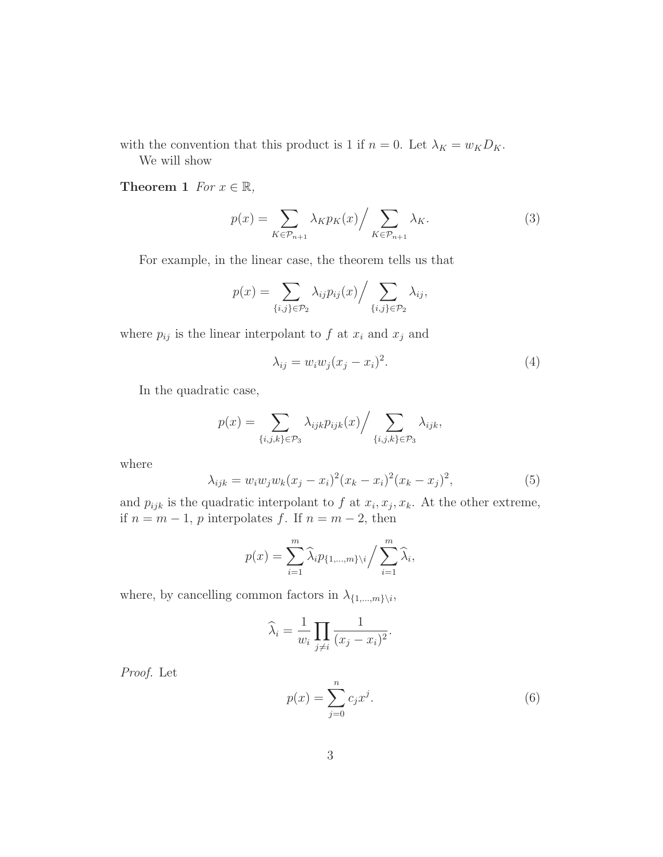with the convention that this product is 1 if  $n = 0$ . Let  $\lambda_K = w_K D_K$ . We will show

Theorem 1 *For*  $x \in \mathbb{R}$ ,

$$
p(x) = \sum_{K \in \mathcal{P}_{n+1}} \lambda_K p_K(x) / \sum_{K \in \mathcal{P}_{n+1}} \lambda_K.
$$
 (3)

For example, in the linear case, the theorem tells us that

$$
p(x) = \sum_{\{i,j\} \in \mathcal{P}_2} \lambda_{ij} p_{ij}(x) / \sum_{\{i,j\} \in \mathcal{P}_2} \lambda_{ij},
$$

where  $p_{ij}$  is the linear interpolant to f at  $x_i$  and  $x_j$  and

$$
\lambda_{ij} = w_i w_j (x_j - x_i)^2. \tag{4}
$$

In the quadratic case,

$$
p(x) = \sum_{\{i,j,k\} \in \mathcal{P}_3} \lambda_{ijk} p_{ijk}(x) / \sum_{\{i,j,k\} \in \mathcal{P}_3} \lambda_{ijk},
$$

where

$$
\lambda_{ijk} = w_i w_j w_k (x_j - x_i)^2 (x_k - x_i)^2 (x_k - x_j)^2, \tag{5}
$$

and  $p_{ijk}$  is the quadratic interpolant to f at  $x_i, x_j, x_k$ . At the other extreme, if  $n = m - 1$ , p interpolates f. If  $n = m - 2$ , then

$$
p(x) = \sum_{i=1}^{m} \widehat{\lambda}_i p_{\{1,\dots,m\}\backslash i} / \sum_{i=1}^{m} \widehat{\lambda}_i,
$$

where, by cancelling common factors in  $\lambda_{\{1,\dots,m\}\setminus i}$ ,

$$
\widehat{\lambda}_i = \frac{1}{w_i} \prod_{j \neq i} \frac{1}{(x_j - x_i)^2}.
$$

*Proof.* Let

$$
p(x) = \sum_{j=0}^{n} c_j x^j.
$$
\n
$$
(6)
$$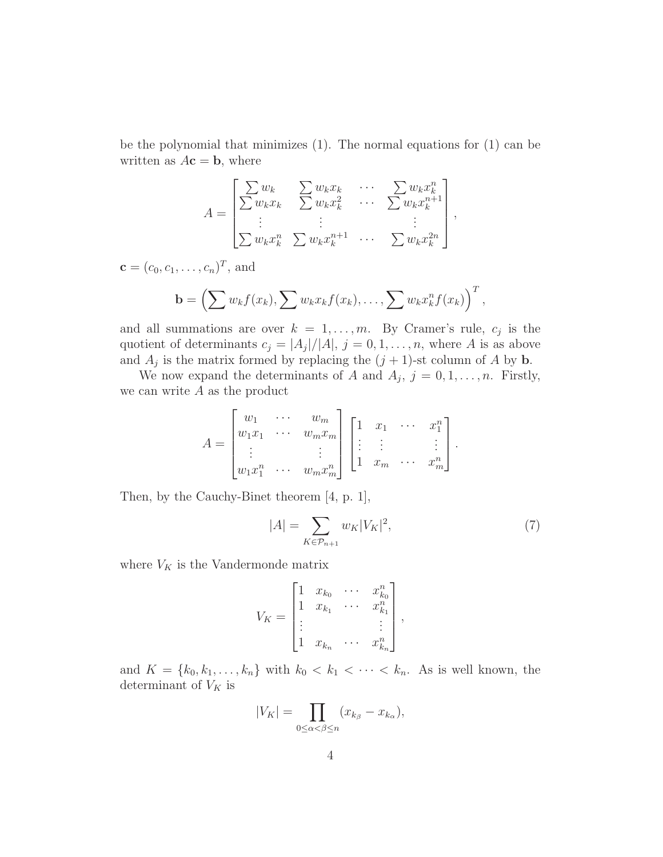be the polynomial that minimizes (1). The normal equations for (1) can be written as  $A\mathbf{c} = \mathbf{b}$ , where

$$
A = \begin{bmatrix} \sum w_k & \sum w_k x_k & \cdots & \sum w_k x_k^n \\ \sum w_k x_k & \sum w_k x_k^2 & \cdots & \sum w_k x_k^{n+1} \\ \vdots & \vdots & & \vdots \\ \sum w_k x_k^n & \sum w_k x_k^{n+1} & \cdots & \sum w_k x_k^{2n} \end{bmatrix}
$$

 $\mathbf{c} = (c_0, c_1, \dots, c_n)^T$ , and

$$
\mathbf{b} = \left(\sum w_k f(x_k), \sum w_k x_k f(x_k), \dots, \sum w_k x_k^n f(x_k)\right)^T,
$$

and all summations are over  $k = 1, \ldots, m$ . By Cramer's rule,  $c_j$  is the quotient of determinants  $c_j = |A_j|/|A|, j = 0, 1, ..., n$ , where A is as above and  $A_j$  is the matrix formed by replacing the  $(j + 1)$ -st column of A by **b**.

We now expand the determinants of A and  $A_j$ ,  $j = 0, 1, \ldots, n$ . Firstly, we can write  $A$  as the product

$$
A = \begin{bmatrix} w_1 & \cdots & w_m \\ w_1 x_1 & \cdots & w_m x_m \\ \vdots & & \vdots \\ w_1 x_1^n & \cdots & w_m x_m^n \end{bmatrix} \begin{bmatrix} 1 & x_1 & \cdots & x_1^n \\ \vdots & \vdots & & \vdots \\ 1 & x_m & \cdots & x_m^n \end{bmatrix}.
$$

Then, by the Cauchy-Binet theorem [4, p. 1],

$$
|A| = \sum_{K \in \mathcal{P}_{n+1}} w_K |V_K|^2,
$$
\n<sup>(7)</sup>

,

where  $V_K$  is the Vandermonde matrix

$$
V_K = \begin{bmatrix} 1 & x_{k_0} & \cdots & x_{k_0}^n \\ 1 & x_{k_1} & \cdots & x_{k_1}^n \\ \vdots & & & \vdots \\ 1 & x_{k_n} & \cdots & x_{k_n}^n \end{bmatrix},
$$

and  $K = \{k_0, k_1, \ldots, k_n\}$  with  $k_0 < k_1 < \cdots < k_n$ . As is well known, the determinant of  $V_K$  is

$$
|V_K| = \prod_{0 \leq \alpha < \beta \leq n} (x_{k_\beta} - x_{k_\alpha}),
$$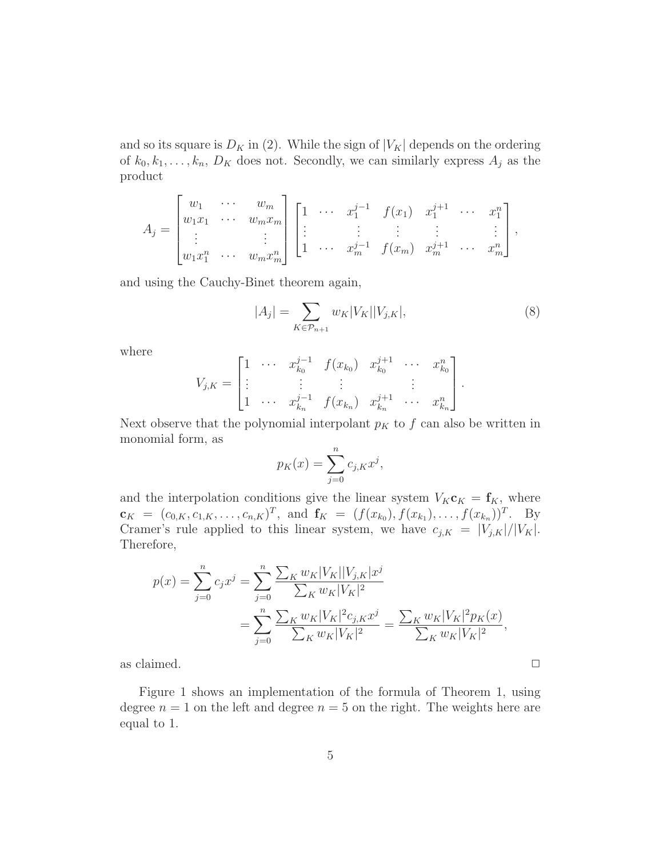and so its square is  $D_K$  in (2). While the sign of  $|V_K|$  depends on the ordering of  $k_0, k_1, \ldots, k_n$ ,  $D_K$  does not. Secondly, we can similarly express  $A_j$  as the product

$$
A_j = \begin{bmatrix} w_1 & \cdots & w_m \\ w_1x_1 & \cdots & w_mx_m \\ \vdots & & \vdots \\ w_1x_1^n & \cdots & w_mx_m^n \end{bmatrix} \begin{bmatrix} 1 & \cdots & x_1^{j-1} & f(x_1) & x_1^{j+1} & \cdots & x_1^n \\ \vdots & & \vdots & \vdots & & \vdots \\ 1 & \cdots & x_m^{j-1} & f(x_m) & x_m^{j+1} & \cdots & x_m^n \end{bmatrix},
$$

and using the Cauchy-Binet theorem again,

$$
|A_j| = \sum_{K \in \mathcal{P}_{n+1}} w_K |V_K||V_{j,K}|,
$$
\n(8)

where

$$
V_{j,K} = \begin{bmatrix} 1 & \cdots & x_{k_0}^{j-1} & f(x_{k_0}) & x_{k_0}^{j+1} & \cdots & x_{k_0}^n \\ \vdots & \vdots & \vdots & & \vdots & \vdots \\ 1 & \cdots & x_{k_n}^{j-1} & f(x_{k_n}) & x_{k_n}^{j+1} & \cdots & x_{k_n}^n \end{bmatrix}.
$$

Next observe that the polynomial interpolant  $p<sub>K</sub>$  to f can also be written in monomial form, as

$$
p_K(x) = \sum_{j=0}^n c_{j,K} x^j,
$$

and the interpolation conditions give the linear system  $V_K$ **c**<sub>K</sub> = **f**<sub>K</sub>, where  $\mathbf{c}_K = (c_{0,K}, c_{1,K}, \dots, c_{n,K})^T$ , and  $\mathbf{f}_K = (f(x_{k_0}), f(x_{k_1}), \dots, f(x_{k_n}))^T$ . By Cramer's rule applied to this linear system, we have  $c_{j,K} = |V_{j,K}|/|V_K|$ . Therefore,

$$
p(x) = \sum_{j=0}^{n} c_j x^j = \sum_{j=0}^{n} \frac{\sum_{K} w_K |V_K||V_{j,K}|x^j}{\sum_{K} w_K |V_K|^2} = \sum_{j=0}^{n} \frac{\sum_{K} w_K |V_K|^2 c_{j,K} x^j}{\sum_{K} w_K |V_K|^2} = \frac{\sum_{K} w_K |V_K|^2 p_K(x)}{\sum_{K} w_K |V_K|^2},
$$

as claimed.  $\Box$ 

Figure 1 shows an implementation of the formula of Theorem 1, using degree  $n = 1$  on the left and degree  $n = 5$  on the right. The weights here are equal to 1.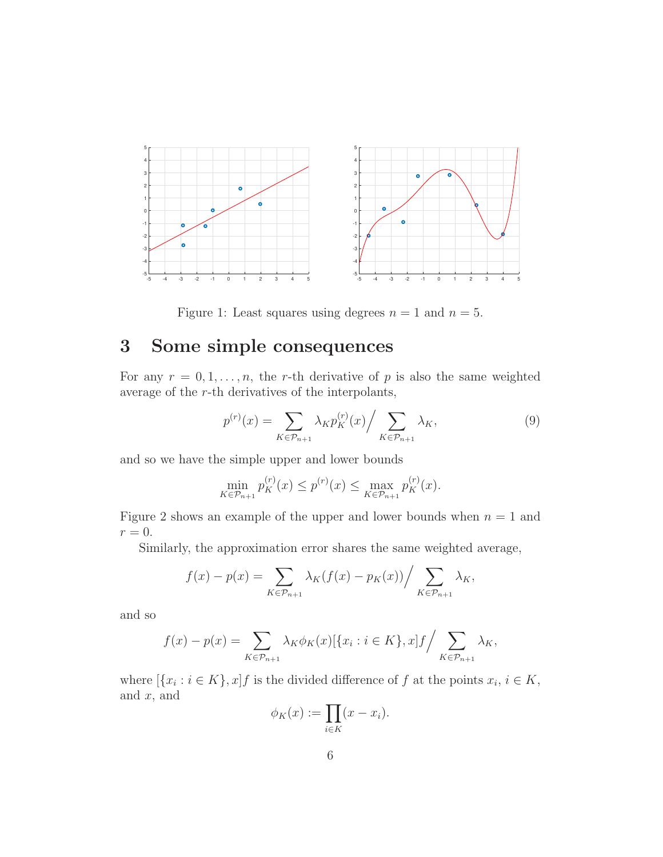

Figure 1: Least squares using degrees  $n = 1$  and  $n = 5$ .

### 3 Some simple consequences

For any  $r = 0, 1, \ldots, n$ , the r-th derivative of p is also the same weighted average of the r-th derivatives of the interpolants,

$$
p^{(r)}(x) = \sum_{K \in \mathcal{P}_{n+1}} \lambda_K p_K^{(r)}(x) / \sum_{K \in \mathcal{P}_{n+1}} \lambda_K,
$$
\n(9)

and so we have the simple upper and lower bounds

$$
\min_{K \in \mathcal{P}_{n+1}} p_K^{(r)}(x) \le p^{(r)}(x) \le \max_{K \in \mathcal{P}_{n+1}} p_K^{(r)}(x).
$$

Figure 2 shows an example of the upper and lower bounds when  $n = 1$  and  $r = 0$ .

Similarly, the approximation error shares the same weighted average,

$$
f(x) - p(x) = \sum_{K \in \mathcal{P}_{n+1}} \lambda_K(f(x) - p_K(x)) / \sum_{K \in \mathcal{P}_{n+1}} \lambda_K,
$$

and so

$$
f(x) - p(x) = \sum_{K \in \mathcal{P}_{n+1}} \lambda_K \phi_K(x) [\{x_i : i \in K\}, x] f / \sum_{K \in \mathcal{P}_{n+1}} \lambda_K,
$$

where  $[\{x_i : i \in K\}, x]$  is the divided difference of f at the points  $x_i, i \in K$ , and  $x$ , and

$$
\phi_K(x) := \prod_{i \in K} (x - x_i).
$$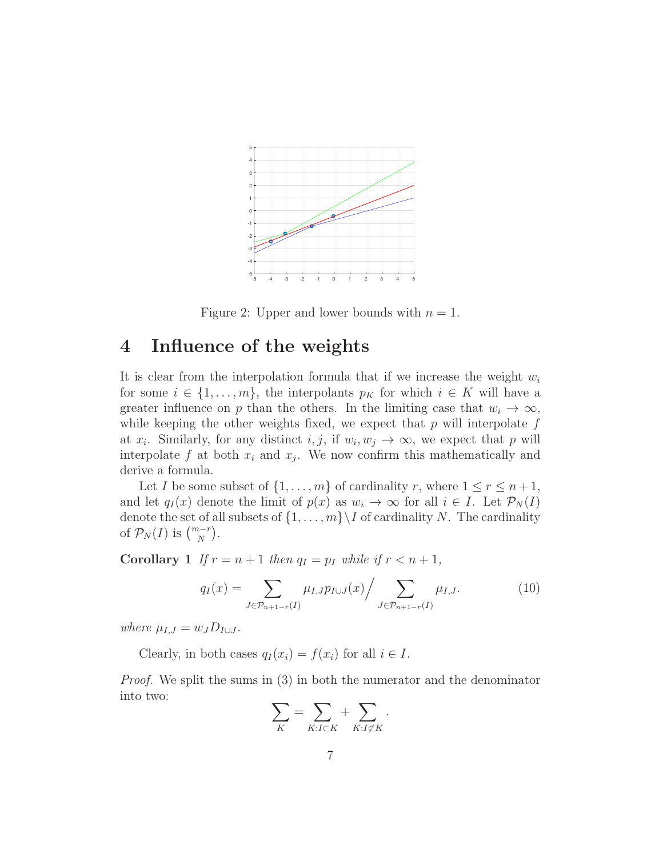

Figure 2: Upper and lower bounds with  $n = 1$ .

#### 4 Influence of the weights

It is clear from the interpolation formula that if we increase the weight  $w_i$ for some  $i \in \{1, \ldots, m\}$ , the interpolants  $p_K$  for which  $i \in K$  will have a greater influence on p than the others. In the limiting case that  $w_i \to \infty$ , while keeping the other weights fixed, we expect that  $p$  will interpolate  $f$ at  $x_i$ . Similarly, for any distinct  $i, j$ , if  $w_i, w_j \to \infty$ , we expect that p will interpolate f at both  $x_i$  and  $x_j$ . We now confirm this mathematically and derive a formula.

Let I be some subset of  $\{1, \ldots, m\}$  of cardinality r, where  $1 \leq r \leq n+1$ , and let  $q_I(x)$  denote the limit of  $p(x)$  as  $w_i \to \infty$  for all  $i \in I$ . Let  $\mathcal{P}_N(I)$ denote the set of all subsets of  $\{1, \ldots, m\} \backslash I$  of cardinality N. The cardinality of  $\mathcal{P}_N(I)$  is  $\binom{m-r}{N}$ .

**Corollary 1** If  $r = n + 1$  then  $q_I = p_I$  while if  $r < n + 1$ ,

$$
q_I(x) = \sum_{J \in \mathcal{P}_{n+1-r}(I)} \mu_{I,J} p_{I \cup J}(x) / \sum_{J \in \mathcal{P}_{n+1-r}(I)} \mu_{I,J}.
$$
 (10)

*where*  $\mu_{I,J} = w_J D_{I \cup J}$ *.* 

Clearly, in both cases  $q_I(x_i) = f(x_i)$  for all  $i \in I$ .

*Proof.* We split the sums in (3) in both the numerator and the denominator into two:

$$
\sum_{K} = \sum_{K:I \subset K} + \sum_{K:I \nsubseteq K}.
$$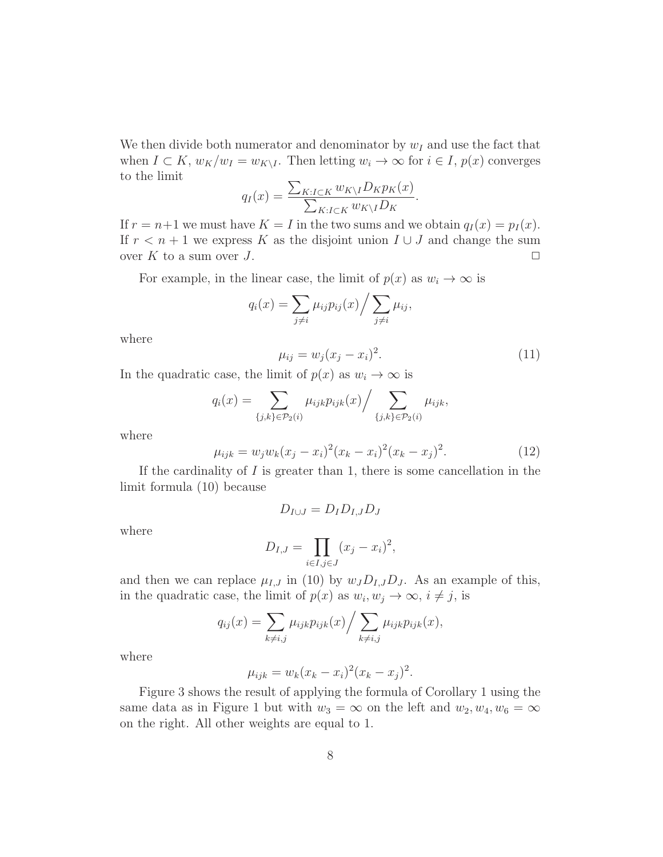We then divide both numerator and denominator by  $w_I$  and use the fact that when  $I \subset K$ ,  $w_K/w_I = w_{K\setminus I}$ . Then letting  $w_i \to \infty$  for  $i \in I$ ,  $p(x)$  converges to the limit

$$
q_I(x) = \frac{\sum_{K:I \subset K} w_{K\setminus I} D_K p_K(x)}{\sum_{K:I \subset K} w_{K\setminus I} D_K}.
$$

If  $r = n+1$  we must have  $K = I$  in the two sums and we obtain  $q_I(x) = p_I(x)$ . If  $r < n+1$  we express K as the disjoint union  $I \cup J$  and change the sum over K to a sum over J.  $\Box$ 

For example, in the linear case, the limit of  $p(x)$  as  $w_i \to \infty$  is

$$
q_i(x) = \sum_{j \neq i} \mu_{ij} p_{ij}(x) / \sum_{j \neq i} \mu_{ij},
$$

where

$$
\mu_{ij} = w_j (x_j - x_i)^2. \tag{11}
$$

In the quadratic case, the limit of  $p(x)$  as  $w_i \to \infty$  is

$$
q_i(x) = \sum_{\{j,k\} \in \mathcal{P}_2(i)} \mu_{ijk} p_{ijk}(x) / \sum_{\{j,k\} \in \mathcal{P}_2(i)} \mu_{ijk},
$$

where

$$
\mu_{ijk} = w_j w_k (x_j - x_i)^2 (x_k - x_i)^2 (x_k - x_j)^2. \tag{12}
$$

If the cardinality of  $I$  is greater than 1, there is some cancellation in the limit formula (10) because

$$
D_{I\cup J}=D_I D_{I,J} D_J
$$

where

$$
D_{I,J} = \prod_{i \in I, j \in J} (x_j - x_i)^2,
$$

and then we can replace  $\mu_{I,J}$  in (10) by  $w_J D_{I,J} D_J$ . As an example of this, in the quadratic case, the limit of  $p(x)$  as  $w_i, w_j \to \infty$ ,  $i \neq j$ , is

$$
q_{ij}(x) = \sum_{k \neq i,j} \mu_{ijk} p_{ijk}(x) / \sum_{k \neq i,j} \mu_{ijk} p_{ijk}(x),
$$

where

$$
\mu_{ijk} = w_k(x_k - x_i)^2 (x_k - x_j)^2.
$$

Figure 3 shows the result of applying the formula of Corollary 1 using the same data as in Figure 1 but with  $w_3 = \infty$  on the left and  $w_2, w_4, w_6 = \infty$ on the right. All other weights are equal to 1.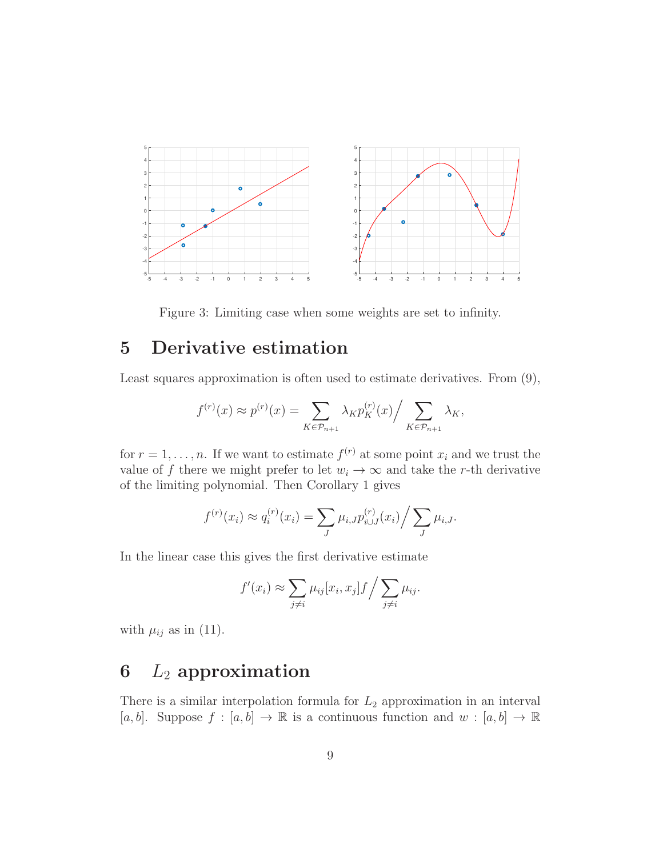

Figure 3: Limiting case when some weights are set to infinity.

#### 5 Derivative estimation

Least squares approximation is often used to estimate derivatives. From (9),

$$
f^{(r)}(x) \approx p^{(r)}(x) = \sum_{K \in \mathcal{P}_{n+1}} \lambda_K p_K^{(r)}(x) / \sum_{K \in \mathcal{P}_{n+1}} \lambda_K,
$$

for  $r = 1, \ldots, n$ . If we want to estimate  $f^{(r)}$  at some point  $x_i$  and we trust the value of f there we might prefer to let  $w_i \to \infty$  and take the r-th derivative of the limiting polynomial. Then Corollary 1 gives

$$
f^{(r)}(x_i) \approx q_i^{(r)}(x_i) = \sum_J \mu_{i,J} p_{i \cup J}^{(r)}(x_i) / \sum_J \mu_{i,J}.
$$

In the linear case this gives the first derivative estimate

$$
f'(x_i) \approx \sum_{j \neq i} \mu_{ij}[x_i, x_j] f / \sum_{j \neq i} \mu_{ij}.
$$

with  $\mu_{ij}$  as in (11).

## $6$   $L_2$  approximation

There is a similar interpolation formula for  $L_2$  approximation in an interval [a, b]. Suppose  $f : [a, b] \to \mathbb{R}$  is a continuous function and  $w : [a, b] \to \mathbb{R}$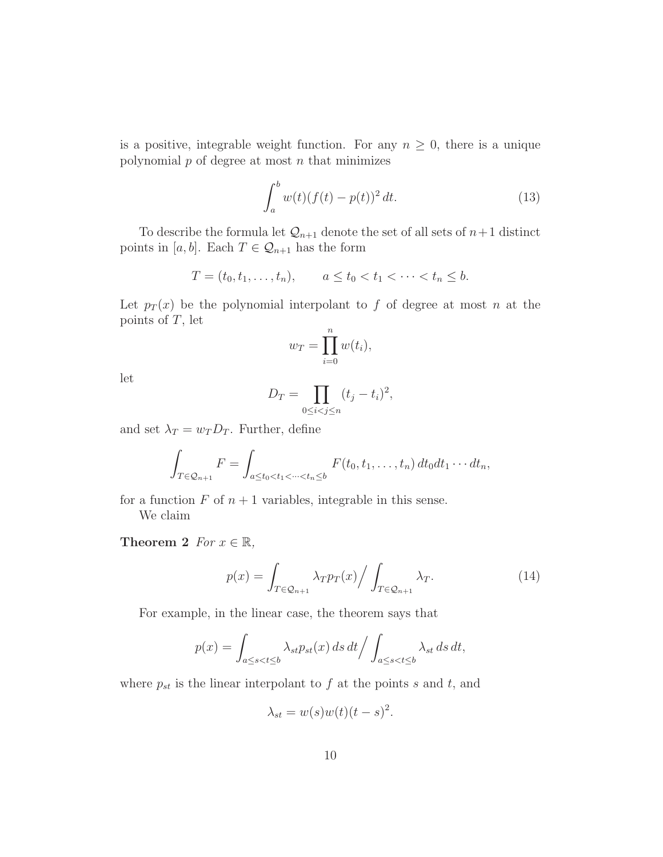is a positive, integrable weight function. For any  $n \geq 0$ , there is a unique polynomial  $p$  of degree at most  $n$  that minimizes

$$
\int_{a}^{b} w(t)(f(t) - p(t))^{2} dt.
$$
 (13)

To describe the formula let  $\mathcal{Q}_{n+1}$  denote the set of all sets of  $n+1$  distinct points in  $[a,b].$  Each  $T\in \mathcal{Q}_{n+1}$  has the form

$$
T = (t_0, t_1, \dots, t_n), \qquad a \le t_0 < t_1 < \dots < t_n \le b.
$$

Let  $p_T(x)$  be the polynomial interpolant to f of degree at most n at the points of  $T$ , let

$$
w_T = \prod_{i=0}^n w(t_i),
$$

let

$$
D_T = \prod_{0 \le i < j \le n} (t_j - t_i)^2,
$$

and set  $\lambda_T = w_T D_T$ . Further, define

$$
\int_{T\in\mathcal{Q}_{n+1}} F = \int_{a\leq t_0 < t_1 < \dots < t_n \leq b} F(t_0, t_1, \dots, t_n) dt_0 dt_1 \cdots dt_n,
$$

for a function  $F$  of  $n+1$  variables, integrable in this sense.

We claim

Theorem 2  $For x \in \mathbb{R}$ ,

$$
p(x) = \int_{T \in \mathcal{Q}_{n+1}} \lambda_T p_T(x) / \int_{T \in \mathcal{Q}_{n+1}} \lambda_T.
$$
 (14)

For example, in the linear case, the theorem says that

$$
p(x) = \int_{a \le s < t \le b} \lambda_{st} p_{st}(x) \, ds \, dt \Big/ \int_{a \le s < t \le b} \lambda_{st} \, ds \, dt,
$$

where  $p_{st}$  is the linear interpolant to f at the points s and t, and

$$
\lambda_{st} = w(s)w(t)(t-s)^2.
$$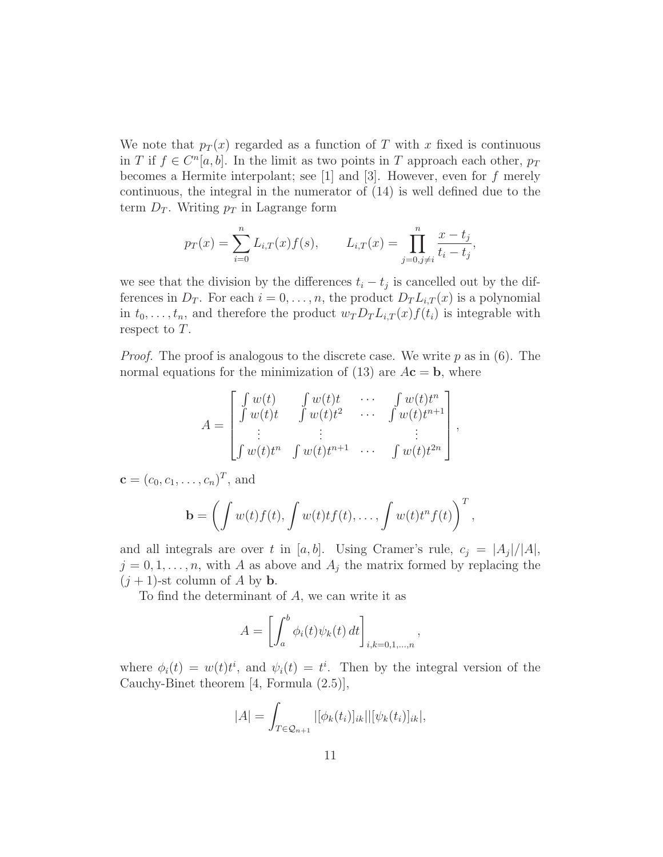We note that  $p_T(x)$  regarded as a function of T with x fixed is continuous in T if  $f \in C<sup>n</sup>[a, b]$ . In the limit as two points in T approach each other,  $p_T$ becomes a Hermite interpolant; see  $[1]$  and  $[3]$ . However, even for  $f$  merely continuous, the integral in the numerator of (14) is well defined due to the term  $D_T$ . Writing  $p_T$  in Lagrange form

$$
p_T(x) = \sum_{i=0}^n L_{i,T}(x) f(s), \qquad L_{i,T}(x) = \prod_{j=0, j \neq i}^n \frac{x - t_j}{t_i - t_j},
$$

we see that the division by the differences  $t_i - t_j$  is cancelled out by the differences in  $D_T$ . For each  $i = 0, \ldots, n$ , the product  $D_T L_{i,T}(x)$  is a polynomial in  $t_0, \ldots, t_n$ , and therefore the product  $w_T D_T L_{i,T}(x) f(t_i)$  is integrable with respect to T.

*Proof.* The proof is analogous to the discrete case. We write  $p$  as in (6). The normal equations for the minimization of (13) are  $A\mathbf{c} = \mathbf{b}$ , where

$$
A = \begin{bmatrix} \int w(t) & \int w(t)t & \cdots & \int w(t)t^n \\ \int w(t)t & \int w(t)t^2 & \cdots & \int w(t)t^{n+1} \\ \vdots & \vdots & & \vdots \\ \int w(t)t^n & \int w(t)t^{n+1} & \cdots & \int w(t)t^{2n} \end{bmatrix}
$$

,

 $\mathbf{c} = (c_0, c_1, \dots, c_n)^T$ , and

$$
\mathbf{b} = \left( \int w(t) f(t), \int w(t) t f(t), \dots, \int w(t) t^n f(t) \right)^T,
$$

and all integrals are over t in [a, b]. Using Cramer's rule,  $c_j = |A_j|/|A|$ ,  $j = 0, 1, \ldots, n$ , with A as above and  $A_j$  the matrix formed by replacing the  $(j + 1)$ -st column of A by **b**.

To find the determinant of A, we can write it as

$$
A = \left[ \int_a^b \phi_i(t) \psi_k(t) dt \right]_{i,k=0,1,\dots,n},
$$

where  $\phi_i(t) = w(t)t^i$ , and  $\psi_i(t) = t^i$ . Then by the integral version of the Cauchy-Binet theorem [4, Formula (2.5)],

$$
|A| = \int_{T \in \mathcal{Q}_{n+1}} |[\phi_k(t_i)]_{ik}||[\psi_k(t_i)]_{ik}|,
$$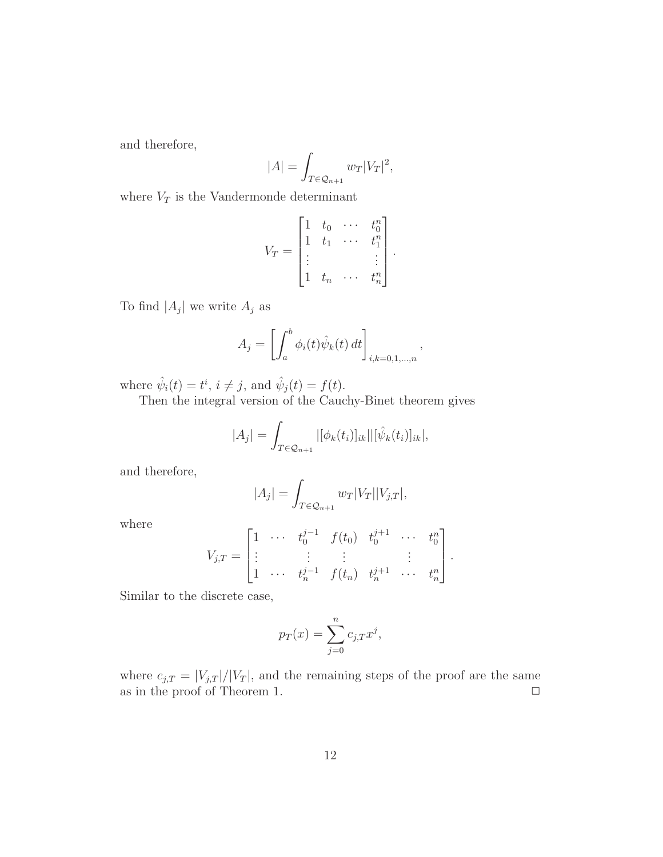and therefore,

$$
|A| = \int_{T \in \mathcal{Q}_{n+1}} w_T |V_T|^2,
$$

where  $V_T$  is the Vandermonde determinant

$$
V_T = \begin{bmatrix} 1 & t_0 & \cdots & t_0^n \\ 1 & t_1 & \cdots & t_1^n \\ \vdots & & \vdots \\ 1 & t_n & \cdots & t_n^n \end{bmatrix}.
$$

To find  $|A_j|$  we write  $A_j$  as

$$
A_j = \left[ \int_a^b \phi_i(t) \hat{\psi}_k(t) dt \right]_{i,k=0,1,\dots,n},
$$

where  $\hat{\psi}_i(t) = t^i$ ,  $i \neq j$ , and  $\hat{\psi}_j(t) = f(t)$ .

Then the integral version of the Cauchy-Binet theorem gives

$$
|A_j| = \int_{T \in \mathcal{Q}_{n+1}} |[\phi_k(t_i)]_{ik}| |[\hat{\psi}_k(t_i)]_{ik}|,
$$

and therefore,

$$
|A_j| = \int_{T \in \mathcal{Q}_{n+1}} w_T |V_T| |V_{j,T}|,
$$

where

$$
V_{j,T} = \begin{bmatrix} 1 & \cdots & t_0^{j-1} & f(t_0) & t_0^{j+1} & \cdots & t_0^n \\ \vdots & & \vdots & & \vdots & & \vdots \\ 1 & \cdots & t_n^{j-1} & f(t_n) & t_n^{j+1} & \cdots & t_n^n \end{bmatrix}.
$$

Similar to the discrete case,

$$
p_T(x) = \sum_{j=0}^n c_{j,T} x^j,
$$

where  $c_{j,T} = |V_{j,T}|/|V_T|$ , and the remaining steps of the proof are the same as in the proof of Theorem 1.  $\Box$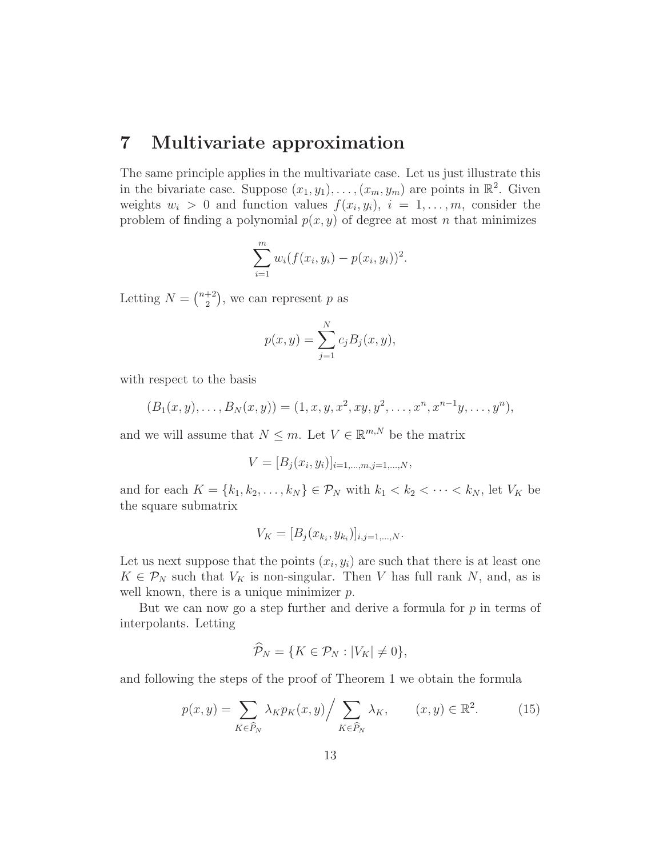#### 7 Multivariate approximation

The same principle applies in the multivariate case. Let us just illustrate this in the bivariate case. Suppose  $(x_1, y_1), \ldots, (x_m, y_m)$  are points in  $\mathbb{R}^2$ . Given weights  $w_i > 0$  and function values  $f(x_i, y_i)$ ,  $i = 1, \ldots, m$ , consider the problem of finding a polynomial  $p(x, y)$  of degree at most n that minimizes

$$
\sum_{i=1}^{m} w_i (f(x_i, y_i) - p(x_i, y_i))^2.
$$

Letting  $N = \binom{n+2}{2}$  $\binom{+2}{2}$ , we can represent p as

$$
p(x, y) = \sum_{j=1}^{N} c_j B_j(x, y),
$$

with respect to the basis

$$
(B_1(x, y), \ldots, B_N(x, y)) = (1, x, y, x^2, xy, y^2, \ldots, x^n, x^{n-1}y, \ldots, y^n),
$$

and we will assume that  $N \leq m$ . Let  $V \in \mathbb{R}^{m,N}$  be the matrix

$$
V = [B_j(x_i, y_i)]_{i=1,\dots,m,j=1,\dots,N},
$$

and for each  $K = \{k_1, k_2, \ldots, k_N\} \in \mathcal{P}_N$  with  $k_1 < k_2 < \cdots < k_N$ , let  $V_K$  be the square submatrix

$$
V_K = [B_j(x_{k_i}, y_{k_i})]_{i,j=1,\ldots,N}.
$$

Let us next suppose that the points  $(x_i, y_i)$  are such that there is at least one  $K \in \mathcal{P}_N$  such that  $V_K$  is non-singular. Then V has full rank N, and, as is well known, there is a unique minimizer  $p$ .

But we can now go a step further and derive a formula for  $p$  in terms of interpolants. Letting

$$
\widehat{\mathcal{P}}_N = \{ K \in \mathcal{P}_N : |V_K| \neq 0 \},\
$$

and following the steps of the proof of Theorem 1 we obtain the formula

$$
p(x,y) = \sum_{K \in \widehat{P}_N} \lambda_K p_K(x,y) / \sum_{K \in \widehat{P}_N} \lambda_K, \qquad (x,y) \in \mathbb{R}^2.
$$
 (15)